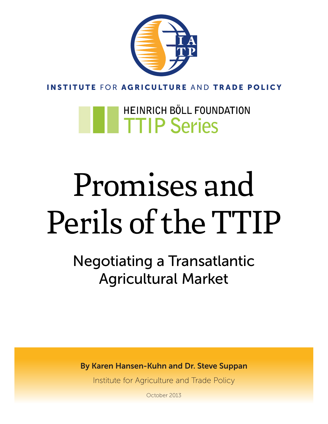

INSTITUTE FOR AGRICULTURE AND TRADE POLICY

HEINRICH BÖLL FOUNDATION **THEINRICH BOLL FOUND** 

# Promises and Perils of the TTIP

Negotiating a Transatlantic Agricultural Market

By Karen Hansen-Kuhn and Dr. Steve Suppan

Institute for Agriculture and Trade Policy

October 2013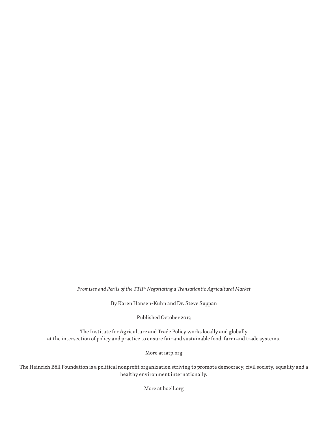*Promises and Perils of the TTIP: Negotiating a Transatlantic Agricultural Market*

By Karen Hansen-Kuhn and Dr. Steve Suppan

Published October 2013

The Institute for Agriculture and Trade Policy works locally and globally at the intersection of policy and practice to ensure fair and sustainable food, farm and trade systems.

More at iatp.org

The Heinrich Böll Foundation is a political nonprofit organization striving to promote democracy, civil society, equality and a healthy environment internationally.

More at boell.org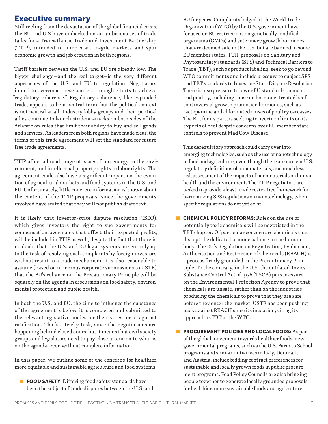## Executive summary

Still reeling from the devastation of the global financial crisis, the EU and U.S have embarked on an ambitious set of trade talks for a Transatlantic Trade and Investment Partnership (TTIP), intended to jump-start fragile markets and spur economic growth and job creation in both regions.

Tariff barriers between the U.S. and EU are already low. The bigger challenge—and the real target—is the very different approaches of the U.S. and EU to regulation. Negotiators intend to overcome these barriers through efforts to achieve "regulatory coherence." Regulatory coherence, like expanded trade, appears to be a neutral term, but the political context is not neutral at all. Industry lobby groups and their political allies continue to launch strident attacks on both sides of the Atlantic on rules that limit their ability to buy and sell goods and services. As leaders from both regions have made clear, the terms of this trade agreement will set the standard for future free trade agreements.

TTIP affect a broad range of issues, from energy to the environment, and intellectual property rights to labor rights. The agreement could also have a significant impact on the evolution of agricultural markets and food systems in the U.S. and EU. Unfortunately, little concrete information is known about the content of the TTIP proposals, since the governments involved have stated that they will not publish draft text.

It is likely that investor-state dispute resolution (ISDR), which gives investors the right to sue governments for compensation over rules that affect their expected profits, will be included in TTIP as well, despite the fact that there is no doubt that the U.S. and EU legal systems are entirely up to the task of resolving such complaints by foreign investors without resort to a trade mechanism. It is also reasonable to assume (based on numerous corporate submissions to USTR) that the EU's reliance on the Precautionary Principle will be squarely on the agenda in discussions on food safety, environmental protection and public health.

In both the U.S. and EU, the time to influence the substance of the agreement is before it is completed and submitted to the relevant legislative bodies for their votes for or against ratification. That's a tricky task, since the negotiations are happening behind closed doors, but it means that civil society groups and legislators need to pay close attention to what is on the agenda, even without complete information.

In this paper, we outline some of the concerns for healthier, more equitable and sustainable agriculture and food systems:

■ FOOD SAFETY: Differing food safety standards have been the subject of trade disputes between the U.S. and

EU for years. Complaints lodged at the World Trade Organization (WTO) by the U.S. government have focused on EU restrictions on genetically modified organisms (GMOs) and veterinary growth hormones that are deemed safe in the U.S. but are banned in some EU member states. TTIP proposals on Sanitary and Phytosanitary standards (SPS) and Technical Barriers to Trade (TBT), such as product labeling, seek to go beyond WTO commitments and include pressure to subject SPS and TBT standards to Investor-State Dispute Resolution. There is also pressure to lower EU standards on meats and poultry, including those on hormone-treated beef, controversial growth promotion hormones, such as ractopamine and chlorinated rinses of poultry carcasses. The EU, for its part, is seeking to overturn limits on its exports of beef despite concerns over EU member state controls to prevent Mad Cow Disease.

This deregulatory approach could carry over into emerging technologies, such as the use of nanotechnology in food and agriculture, even though there are no clear U.S. regulatory definitions of nanomaterials, and much less risk assessment of the impacts of nanomaterials on human health and the environment. The TTIP negotiators are tasked to provide a least–trade restrictive framework for harmonizing SPS regulations on nanotechnology, when specific regulations do not yet exist.

- **CHEMICAL POLICY REFORMS:** Rules on the use of potentially toxic chemicals will be negotiated in the TBT chapter. Of particular concern are chemicals that disrupt the delicate hormone balance in the human body. The EU's Regulation on Registration, Evaluation, Authorisation and Restriction of Chemicals (REACH) is a process firmly grounded in the Precautionary Principle. To the contrary, in the U.S. the outdated Toxics Substance Control Act of 1976 (TSCA) puts pressure on the Environmental Protection Agency to prove that chemicals are unsafe, rather than on the industries producing the chemicals to prove that they are safe before they enter the market. USTR has been pushing back against REACH since its inception, citing its approach as TBT at the WTO.
- **E** PROCUREMENT POLICIES AND LOCAL FOODS: As part of the global movement towards healthier foods, new governmental programs, such as the U.S. Farm to School programs and similar initiatives in Italy, Denmark and Austria, include bidding contract preferences for sustainable and locally grown foods in public procurement programs. Food Policy Councils are also bringing people together to generate locally grounded proposals for healthier, more sustainable foods and agriculture.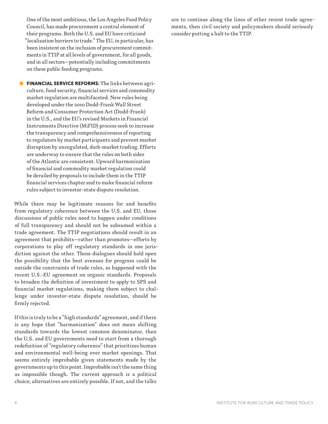- One of the most ambitious, the Los Angeles Food Policy Council, has made procurement a central element of their programs. Both the U.S. and EU have criticized "localization barriers to trade." The EU, in particular, has been insistent on the inclusion of procurement commitments in TTIP at all levels of government, for all goods, and in all sectors—potentially including commitments on these public feeding programs.
- **E FINANCIAL SERVICE REFORMS:** The links between agriculture, food security, financial services and commodity market regulation are multifaceted. New rules being developed under the 2010 Dodd-Frank Wall Street Reform and Consumer Protection Act (Dodd-Frank) in the U.S., and the EU's revised Markets in Financial Instruments Directive (MiFID) process seek to increase the transparency and comprehensiveness of reporting to regulators by market participants and prevent market disruption by unregulated, dark-market trading. Efforts are underway to ensure that the rules on both sides of the Atlantic are consistent. Upward harmonization of financial and commodity market regulation could be derailed by proposals to include them in the TTIP financial services chapter and to make financial reform rules subject to investor-state dispute resolution.

While there may be legitimate reasons for and benefits from regulatory coherence between the U.S. and EU, those discussions of public rules need to happen under conditions of full transparency and should not be subsumed within a trade agreement. The TTIP negotiations should result in an agreement that prohibits—rather than promotes—efforts by corporations to play off regulatory standards in one jurisdiction against the other. Those dialogues should hold open the possibility that the best avenues for progress could be outside the constraints of trade rules, as happened with the recent U.S.-EU agreement on organic standards. Proposals to broaden the definition of investment to apply to SPS and financial market regulations, making them subject to challenge under investor-state dispute resolution, should be firmly rejected.

If this is truly to be a "high standards" agreement, and if there is any hope that "harmonization" does not mean shifting standards towards the lowest common denominator, then the U.S. and EU governments need to start from a thorough redefinition of "regulatory coherence" that prioritizes human and environmental well-being over market openings. That seems entirely improbable given statements made by the governments up to this point. Improbable isn't the same thing as impossible though. The current approach is a political choice; alternatives are entirely possible. If not, and the talks

are to continue along the lines of other recent trade agreements, then civil society and policymakers should seriously consider putting a halt to the TTIP.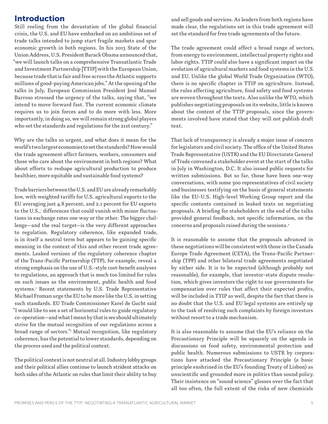## Introduction

Still reeling from the devastation of the global financial crisis, the U.S. and EU have embarked on an ambitious set of trade talks intended to jump start fragile markets and spur economic growth in both regions. In his 2013 State of the Union Address, U.S. President Barack Obama announced that, "we will launch talks on a comprehensive Transatlantic Trade and Investment Partnership [TTIP] with the European Union, because trade that is fair and free across the Atlantic supports millions of good-paying American jobs." At the opening of the talks in July, European Commission President José Manuel Barroso stressed the urgency of the talks, saying that, "we intend to move forward fast. The current economic climate requires us to join forces and to do more with less. More importantly, in doing so, we will remain strong global players who set the standards and regulations for the 21st century."

Why are the talks so urgent, and what does it mean for the world's two largest economies to set the standards? How would the trade agreement affect farmers, workers, consumers and those who care about the environment in both regions? What about efforts to reshape agricultural production to produce healthier, more equitable and sustainable food systems?

Trade barriers between the U.S. and EU are already remarkably low, with weighted tariffs for U.S. agricultural exports to the EU averaging just 4.8 percent, and 2.1 percent for EU exports to the U.S.,<sub>'</sub> differences that could vanish with minor fluctuations in exchange rates one way or the other. The bigger challenge—and the real target—is the very different approaches to regulation. Regulatory coherence, like expanded trade, is in itself a neutral term but appears to be gaining specific meaning in the context of this and other recent trade agreements. Leaked versions of the regulatory coherence chapter of the Trans-Pacific Partnership (TTP), for example, reveal a strong emphasis on the use of U.S.-style cost-benefit analyses to regulations, an approach that is much too limited for rules on such issues as the environment, public health and food systems.2 Recent statements by U.S. Trade Representative Michael Froman urge the EU to be more like the U.S. in setting such standards. EU Trade Commissioner Karel de Gucht said "I would like to see a set of horizontal rules to guide regulatory co-operation—and what I mean by that is we should ultimately strive for the mutual recognition of our regulations across a broad range of sectors."3 Mutual recognition, like regulatory coherence, has the potential to lower standards, depending on the process used and the political context.

The political context is not neutral at all. Industry lobby groups and their political allies continue to launch strident attacks on both sides of the Atlantic on rules that limit their ability to buy and sell goods and services. As leaders from both regions have made clear, the regulations set in this trade agreement will set the standard for free trade agreements of the future.

The trade agreement could affect a broad range of sectors, from energy to environment, intellectual property rights and labor rights. TTIP could also have a significant impact on the evolution of agricultural markets and food systems in the U.S. and EU. Unlike the global World Trade Organization (WTO), there is no specific chapter in TTIP on agriculture. Instead, the rules affecting agriculture, food safety and food systems are woven throughout the texts. Also unlike the WTO, which publishes negotiating proposals on its website, little is known about the content of the TTIP proposals, since the governments involved have stated that they will not publish draft text.

That lack of transparency is already a major issue of concern for legislators and civil society. The office of the United States Trade Representative (USTR) and the EU Directorate General of Trade convened a stakeholder event at the start of the talks in July in Washington, D.C. It also issued public requests for written submissions. But so far, those have been one-way conversations, with some 300 representatives of civil society and businesses testifying on the basis of general statements like the EU-U.S. High-level Working Group report and the specific contents contained in leaked texts on negotiating proposals. A briefing for stakeholders at the end of the talks provided general feedback, not specific information, on the concerns and proposals raised during the sessions.4

It is reasonable to assume that the proposals advanced in these negotiations will be consistent with those in the Canada Europe Trade Agreement (CETA), the Trans-Pacific Partnership (TPP) and other bilateral trade agreements negotiated by either side. It is to be expected (although probably not reasonable), for example, that investor-state dispute resolution, which gives investors the right to sue governments for compensation over rules that affect their expected profits, will be included in TTIP as well, despite the fact that there is no doubt that the U.S. and EU legal systems are entirely up to the task of resolving such complaints by foreign investors without resort to a trade mechanism.

It is also reasonable to assume that the EU's reliance on the Precautionary Principle will be squarely on the agenda in discussions on food safety, environmental protection and public health. Numerous submissions to USTR by corporations have attacked the Precautionary Principle (a basic principle enshrined in the EU's founding Treaty of Lisbon) as unscientific and grounded more in politics than sound policy. Their insistence on "sound science" glosses over the fact that all too often, the full extent of the risks of new chemicals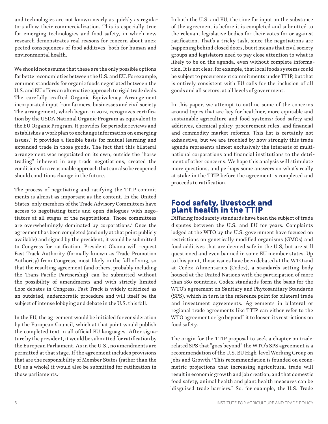and technologies are not known nearly as quickly as regulators allow their commercialization. This is especially true for emerging technologies and food safety, in which new research demonstrates real reasons for concern about unexpected consequences of food additives, both for human and environmental health.

We should not assume that these are the only possible options for better economic ties between the U.S. and EU. For example, common standards for organic foods negotiated between the U.S. and EU offers an alternative approach to rigid trade deals. The carefully crafted Organic Equivalency Arrangement incorporated input from farmers, businesses and civil society. The arrangement, which began in 2012, recognizes certification by the USDA National Organic Program as equivalent to the EU Organic Program. It provides for periodic reviews and establishes a work plan to exchange information on emerging issues.<sup>5</sup> It provides a flexible basis for mutual learning and expanded trade in those goods. The fact that this bilateral arrangement was negotiated on its own, outside the "horse trading" inherent in any trade negotiations, created the conditions for a reasonable approach that can also be reopened should conditions change in the future.

The process of negotiating and ratifying the TTIP commitments is almost as important as the content. In the United States, only members of the Trade Advisory Committees have access to negotiating texts and open dialogues with negotiators at all stages of the negotiations. Those committees are overwhelmingly dominated by corporations.<sup>6</sup> Once the agreement has been completed (and only at that point publicly available) and signed by the president, it would be submitted to Congress for ratification. President Obama will request Fast Track Authority (formally known as Trade Promotion Authority) from Congress, most likely in the fall of 2013, so that the resulting agreement (and others, probably including the Trans-Pacific Partnership) can be submitted without the possibility of amendments and with strictly limited floor debates in Congress. Fast Track is widely criticized as an outdated, undemocratic procedure and will itself be the subject of intense lobbying and debate in the U.S. this fall.

In the EU, the agreement would be initialed for consideration by the European Council, which at that point would publish the completed text in all official EU languages. After signature by the president, it would be submitted for ratification by the European Parliament. As in the U.S., no amendments are permitted at that stage. If the agreement includes provisions that are the responsibility of Member States (rather than the EU as a whole) it would also be submitted for ratification in those parliaments.7

In both the U.S. and EU, the time for input on the substance of the agreement is before it is completed and submitted to the relevant legislative bodies for their votes for or against ratification. That's a tricky task, since the negotiations are happening behind closed doors, but it means that civil society groups and legislators need to pay close attention to what is likely to be on the agenda, even without complete information. It is not clear, for example, that local foods systems could be subject to procurement commitments under TTIP, but that is entirely consistent with EU calls for the inclusion of all goods and all sectors, at all levels of government.

In this paper, we attempt to outline some of the concerns around topics that are key for healthier, more equitable and sustainable agriculture and food systems: food safety and additives, chemical policy, procurement rules, and financial and commodity market reforms. This list is certainly not exhaustive, but we are troubled by how strongly this trade agenda represents almost exclusively the interests of multinational corporations and financial institutions to the detriment of other concerns. We hope this analysis will stimulate more questions, and perhaps some answers on what's really at stake in the TTIP before the agreement is completed and proceeds to ratification.

## Food safety, livestock and plant health in the TTIP

Differing food safety standards have been the subject of trade disputes between the U.S. and EU for years. Complaints lodged at the WTO by the U.S. government have focused on restrictions on genetically modified organisms (GMOs) and food additives that are deemed safe in the U.S, but are still questioned and even banned in some EU member states. Up to this point, those issues have been debated at the WTO and at Codex Alimentarius (Codex), a standards-setting body housed at the United Nations with the participation of more than 180 countries. Codex standards form the basis for the WTO's agreement on Sanitary and Phytosanitary Standards (SPS), which in turn is the reference point for bilateral trade and investment agreements. Agreements in bilateral or regional trade agreements like TTIP can either refer to the WTO agreement or "go beyond" it to loosen its restrictions on food safety.

The origin for the TTIP proposal to seek a chapter on traderelated SPS that "goes beyond" the WTO's SPS agreement is a recommendation of the U.S. EU High-level Working Group on Jobs and Growth.° This recommendation is founded on econometric projections that increasing agricultural trade will result in economic growth and job creation, and that domestic food safety, animal health and plant health measures can be "disguised trade barriers." So, for example, the U.S. Trade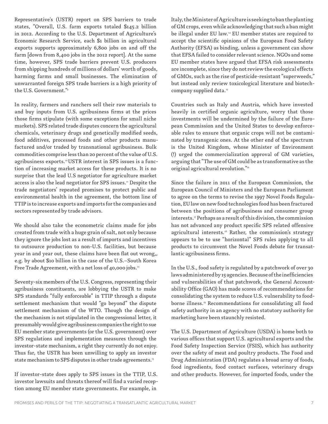Representative's (USTR) report on SPS barriers to trade states, "Overall, U.S. farm exports totaled \$145.2 billion in 2012. According to the U.S. Department of Agriculture's Economic Research Service, each \$1 billion in agricultural exports supports approximately 6,800 jobs on and off the farm [down from 8,400 jobs in the 2012 report]. At the same time, however, SPS trade barriers prevent U.S. producers from shipping hundreds of millions of dollars' worth of goods, harming farms and small businesses. The elimination of unwarranted foreign SPS trade barriers is a high priority of the U.S. Government."<sup>9</sup>

In reality, farmers and ranchers sell their raw materials to and buy inputs from U.S. agribusiness firms at the prices those firms stipulate (with some exceptions for small niche markets). SPS related trade disputes concern the agricultural chemicals, veterinary drugs and genetically modified seeds, food additives, processed foods and other products manufactured and/or traded by transnational agribusiness. Bulk commodities comprise less than 20 percent of the value of U.S. agribusiness exports.<sup>10</sup> USTR interest in SPS issues is a function of increasing market access for these products. It is no surprise that the lead U.S negotiator for agriculture market access is also the lead negotiator for SPS issues." Despite the trade negotiators' repeated promises to protect public and environmental health in the agreement, the bottom line of TTIP is to increase exports and imports for the companies and sectors represented by trade advisors.

We should also take the econometric claims made for jobs created from trade with a huge grain of salt, not only because they ignore the jobs lost as a result of imports and incentives to outsource production to non-U.S. facilities, but because year in and year out, these claims have been flat out wrong,, e.g. by about \$10 billion in the case of the U.S.–South Korea Free Trade Agreement, with a net loss of 40,000 jobs.<sup>12</sup>

Seventy-six members of the U.S. Congress, representing their agribusiness constituents, are lobbying the USTR to make SPS standards "fully enforceable" in TTIP through a dispute settlement mechanism that would "go beyond" the dispute settlement mechanism of the WTO. Though the design of the mechanism is not stipulated in the congressional letter, it presumably would give agribusiness companies the right to sue EU member state governments (or the U.S. government) over SPS regulations and implementation measures through the investor-state mechanism, a right they currently do not enjoy. Thus far, the USTR has been unwilling to apply an investor state mechanism to SPS disputes in other trade agreements.<sup>13</sup>

If investor-state does apply to SPS issues in the TTIP, U.S. investor lawsuits and threats thereof will find a varied reception among EU member state governments. For example, in

Italy, the Minister of Agriculture is seeking to ban the planting of GM crops, even while acknowledging that such a ban might be illegal under EU law.14 EU member states are required to accept the scientific opinions of the European Food Safety Authority (EFSA) as binding, unless a government can show that EFSA failed to consider relevant science. NGOs and some EU member states have argued that EFSA risk assessments are incomplete, since they do not review the ecological effects of GMOs, such as the rise of pesticide-resistant "superweeds," but instead only review toxicological literature and biotechcompany supplied data.<sup>15</sup>

Countries such as Italy and Austria, which have invested heavily in certified organic agriculture, worry that those investments will be undermined by the failure of the European Commission and the United States to develop enforceable rules to ensure that organic crops will not be contaminated by transgenic ones. At the other end of the spectrum is the United Kingdom, whose Minister of Environment (!) urged the commercialization approval of GM varieties, arguing that "The use of GM could be as transformative as the original agricultural revolution."16

Since the failure in 2011 of the European Commission, the European Council of Ministers and the European Parliament to agree on the terms to revise the 1997 Novel Foods Regulation, EU law on new food technologies food has been fractured between the positions of agribusiness and consumer group interests.17 Perhaps as a result of this division, the commission has not advanced any product specific SPS related offensive agricultural interests.<sup>18</sup> Rather, the commission's strategy appears to be to use "horizontal" SPS rules applying to all products to circumvent the Novel Foods debate for transatlantic agribusiness firms.

In the U.S., food safety is regulated by a patchwork of over 30 laws administered by 15 agencies. Because of the inefficiencies and vulnerabilities of that patchwork, the General Accountability Office (GAO) has made scores of recommendations for consolidating the system to reduce U.S. vulnerability to foodborne illness.<sup>19</sup> Recommendations for consolidating all food safety authority in an agency with no statutory authority for marketing have been staunchly resisted.

The U.S. Department of Agriculture (USDA) is home both to various offices that support U.S. agricultural exports and the Food Safety Inspection Service (FSIS), which has authority over the safety of meat and poultry products. The Food and Drug Administration (FDA) regulates a broad array of foods, food ingredients, food contact surfaces, veterinary drugs and other products. However, for imported foods, under the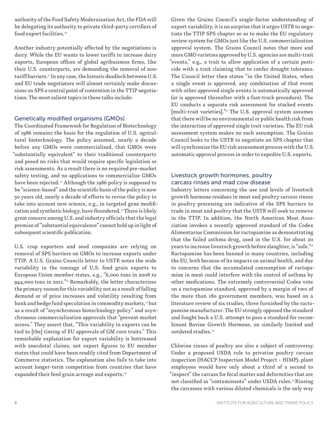authority of the Food Safety Modernization Act, the FDA will be delegating its authority to private third-party certifiers of food export facilities.<sup>20</sup>

Another industry potentially affected by the negotiations is dairy. While the EU wants to lower tariffs to increase dairy exports, European offices of global agribusiness firms, like their U.S. counterparts, are demanding the removal of nontariff barriers.<sup>21</sup> In any case, the historic deadlock between U.S. and EU trade negotiators will almost certainly make discussions on SPS a central point of contention in the TTIP negotiations. The most salient topics in these talks include:

#### Genetically modified organisms (GMOs)

The Coordinated Framework for Regulation of Biotechnology of 1986 remains the basis for the regulation of U.S. agricultural biotechnology. The policy assumed, nearly a decade before any GMOs were commercialized, that GMOs were "substantially equivalent" to their traditional counterparts and posed no risks that would require specific legislation or risk assessments. As a result there is no required pre-market safety testing, and no applications to commercialize GMOs have been rejected.<sup>22</sup> Although the 1986 policy is supposed to be "science-based" and the scientific basis of the policy is now 30 years old, nearly a decade of efforts to revise the policy to take into account new science, e.g., in targeted gene modification and synthetic biology, have floundered.<sup>23</sup> There is likely great concern among U.S. and industry officials that the legal premise of "substantial equivalence" cannot hold up in light of subsequent scientific publication.

U.S. crop exporters and seed companies are relying on removal of SPS barriers on GMOs to increase exports under TTIP. A U.S. Grains Councils letter to USTR notes the wide variability in the tonnage of U.S. feed grain exports to European Union member states, e.g., "6,000 tons in 2008 to 944,000 tons in 2011."24 Remarkably, the letter characterizes the primary reason for this variability not as a result of falling demand or of price increases and volatility resulting from bank and hedge fund speculation in commodity markets,<sup>25</sup> but as a result of "asynchronous biotechnology policy" and asynchronous commercialization approvals that "prevent market access." They assert that, "This variability in exports can be tied to [the] timing of EU approvals of GM corn traits." This remarkable explanation for export variability is buttressed with anecdotal claims, not export figures to EU member states that could have been readily cited from Department of Commerce statistics. The explanation also fails to take into account longer-term competition from countries that have expanded their feed grain acreage and exports.<sup>26</sup>

Given the Grains Council's single-factor understanding of export variability, it is no surprise that it urges USTR to negotiate the TTIP SPS chapter so as to make the EU regulatory review system for GMOs just like the U.S. commercialization approval system. The Grains Council notes that more and more GMO varieties approved by U.S. agencies are multi-trait "events," e.g., a trait to allow application of a certain pesticide with a trait claiming that to confer drought tolerance. The Council letter then states "in the United States, when a single event is approved, any combination of that event with other approved single events is automatically approved (or is approved thereafter with a fast-track procedure). The EU conducts a separate risk assessment for stacked events [multi-trait varieties]."<sup>27</sup> The U.S. approval system assumes that there will be no environmental or public health risk from the interaction of approved single trait varieties. The EU risk assessment system makes no such assumption. The Grains Council looks to the USTR to negotiate an SPS chapter that will synchronize the EU risk assessment process with the U.S. automatic approval process in order to expedite U.S. exports.

#### Livestock growth hormones, poultry carcass rinses and mad cow disease

Industry letters concerning the use and levels of livestock growth hormone residues in meat and poultry carcass rinses in poultry processing are indicative of the SPS barriers to trade in meat and poultry that the USTR will seek to remove in the TTIP. In addition, the North American Meat Association invokes a recently approved standard of the Codex Alimentarius Commission for ractopamine as demonstrating that the failed asthma drug, used in the U.S. for about 20 years to increase livestock growth before slaughter, is "safe."<sup>28</sup> Ractopamine has been banned in many countries, including the EU, both because of its impacts on animal health, and due to concerns that the accumulated consumption of ractopamine in meat could interfere with the control of asthma by other medications. The extremely controversial Codex vote on a ractopamine standard, approved by a margin of two of the more than 180 government members, was based on a literature review of six studies, three furnished by the ractopamine manufacturer. The EU strongly opposed the standard and fought back a U.S. attempt to pass a standard for recombinant Bovine Growth Hormone, on similarly limited and outdated studies.<sup>29</sup>

Chlorine rinses of poultry are also a subject of controversy. Under a proposed USDA rule to privatize poultry carcass inspection (HACCP Inspection Model Project - HIMP), plant employees would have only about a third of a second to "inspect" the carcass for fecal matter and deformities that are not classified as "contaminants" under USDA rules.<sup>30</sup> Rinsing the carcasses with various diluted chemicals is the only way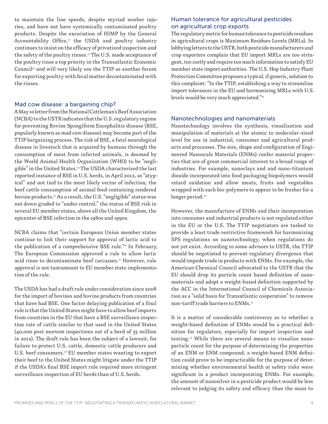to maintain the line speeds, despite myriad worker injuries, and have not have systemically contaminated poultry products. Despite the excoriation of HIMP by the General Accountability Office,<sup>31</sup> the USDA and poultry industry continues to insist on the efficacy of privatized inspection and the safety of the poultry rinses.<sup>32</sup> The U.S. made acceptance of the poultry rinse a top priority in the Transatlantic Economic Council<sup>33</sup> and will very likely use the TTIP as another forum for exporting poultry with fecal matter decontaminated with the rinses.

#### Mad cow disease: a bargaining chip?

A May 10 letter from the National Cattleman's Beef Association (NCBA) to the USTR indicates that the U.S. regulatory regime for preventing Bovine Spongiform Encephalitis disease (BSE, popularly known as mad cow disease) may become part of the TTIP bargaining process. The risk of BSE, a fatal neurological disease in livestock that is acquired by humans through the consumption of meat from infected animals, is deemed by the World Animal Health Organization (WHO) to be "negligible" in the United States.34 The USDA characterized the last reported instance of BSE in U.S. herds, in April 2012, as "atypical" and not tied to the most likely vector of infection, the beef cattle consumption of animal feed containing rendered bovine products.35 As a result, the U.S. "negligible" status was not down graded to "under control," the status of BSE risk in several EU member states, above all the United Kingdom, the epicenter of BSE infection in the 1980s and 1990s.

NCBA claims that "certain European Union member states continue to link their support for approval of lactic acid to the publication of a comprehensive BSE rule."<sup>36</sup> In February, The European Commission approved a rule to allow lactic acid rinse to decontaminate beef carcasses.<sup>37</sup> However, rule approval is not tantamount to EU member state implementation of the rule.

The USDA has had a draft rule under consideration since 2008 for the import of bovines and bovine products from countries that have had BSE. One factor delaying publication of a final rule is that the United States might have to allow beef imports from countries in the EU that have a BSE surveillance inspection rate of cattle similar to that used in the United States (40,000 post mortem inspections out of a herd of 35 million in 2012). The draft rule has been the subject of a lawsuit, for failure to protect U.S. cattle, domestic cattle producers and U.S. beef consumers.<sup>38</sup> EU member states wanting to export their beef to the United States might litigate under the TTIP if the USDA's final BSE import rule required more stringent surveillance inspection of EU herds than of U.S. herds.

#### Human tolerance for agricultural pesticides on agricultural crop exports

The regulatory metric for human tolerance to pesticide residues in agricultural crops is Maximum Residues Levels (MRLs). In lobbying letters to the USTR, both pesticide manufacturers and crop exporters complain that EU import MRLs are too stringent, too costly and require too much information to satisfy EU member state import authorities. The U.S. Hop Industry Plant Protection Committee proposes a typical, if generic, solution to this complaint: "In the TTIP, establishing a way to streamline import tolerances in the EU and harmonizing MRLs with U.S. levels would be very much appreciated."39

#### Nanotechnologies and nanomaterials

Nanotechnology involves the synthesis, visualization and manipulation of materials at the atomic to molecular-sized level for use in industrial, consumer and agricultural products and processes. The size, shape and configuration of Engineered Nanoscale Materials (ENMs) confer material properties that are of great commercial interest to a broad range of industries. For example, nanoclays and and nano-titanium dioxide incorporated into food packaging biopolymers would retard oxidation and allow meats, fruits and vegetables wrapped with such bio-polymers to appear to be fresher for a longer period.<sup>40</sup>

However, the manufacture of ENMs and their incorporation into consumer and industrial products is not regulated either in the EU or the U.S. The TTIP negotiators are tasked to provide a least trade restrictive framework for harmonizing SPS regulations on nanotechnology, when regulations do not yet exist. According to some advisors to USTR, the TTIP should be negotiated to prevent regulatory divergence that would impede trade in products with ENMs. For example, the American Chemical Council advocated to the USTR that the EU should drop its particle count based definition of nanomaterials and adopt a weight-based definition supported by the ACC in the International Council of Chemicals Association as a "solid basis for Transatlantic cooperation" to remove non-tariff trade barriers to ENMs.<sup>41</sup>

It is a matter of considerable controversy as to whether a weight-based definition of ENMs would be a practical definition for regulators, especially for import inspection and testing.42 While there are several means to visualize nanoparticle count for the purpose of determining the properties of an ENM or ENM compound, a weight-based ENM definition could prove to be impracticable for the purpose of determining whether environmental health or safety risks were significant in a product incorporating ENMs. For example, the amount of nanosilver in a pesticide product would be less relevant to judging its safety and efficacy than the mass to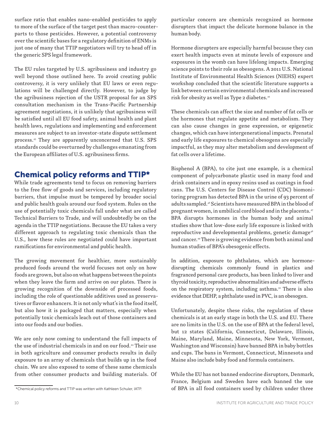surface ratio that enables nano-enabled pesticides to apply to more of the surface of the target pest than macro-counterparts to those pesticides. However, a potential controversy over the scientific bases for a regulatory definition of ENMs is just one of many that TTIP negotiators will try to head off in the generic SPS legal framework.

The EU rules targeted by U.S. agribusiness and industry go well beyond those outlined here. To avoid creating public controversy, it is very unlikely that EU laws or even regulations will be challenged directly. However, to judge by the agribusiness rejection of the USTR proposal for an SPS consultation mechanism in the Trans-Pacific Partnership agreement negotiations, it is unlikely that agribusiness will be satisfied until all EU food safety, animal health and plant health laws, regulations and implementing and enforcement measures are subject to an investor-state dispute settlement process.43 They are apparently unconcerned that U.S. SPS standards could be overturned by challenges emanating from the European affiliates of U.S. agribusiness firms.

# Chemical policy reforms and TTIP\*

While trade agreements tend to focus on removing barriers to the free flow of goods and services, including regulatory barriers, that impulse must be tempered by broader social and public health goals around our food system. Rules on the use of potentially toxic chemicals fall under what are called Technical Barriers to Trade, and will undoubtedly be on the agenda in the TTIP negotiations. Because the EU takes a very different approach to regulating toxic chemicals than the U.S., how these rules are negotiated could have important ramifications for environmental and public health.

The growing movement for healthier, more sustainably produced foods around the world focuses not only on how foods are grown, but also on what happens between the points when they leave the farm and arrive on our plates. There is growing recognition of the downside of processed foods, including the role of questionable additives used as preservatives or flavor enhancers. It is not only what's in the food itself, but also how it is packaged that matters, especially when potentially toxic chemicals leach out of those containers and into our foods and our bodies.

We are only now coming to understand the full impacts of the use of industrial chemicals in and on our food.<sup>44</sup> Their use in both agriculture and consumer products results in daily exposure to an array of chemicals that builds up in the food chain. We are also exposed to some of these same chemicals from other consumer products and building materials. Of particular concern are chemicals recognized as hormone disrupters that impact the delicate hormone balance in the human body.

Hormone disrupters are especially harmful because they can exert health impacts even at minute levels of exposure and exposures in the womb can have lifelong impacts. Emerging science points to their role as obesogens. A 2011 U.S. National Institute of Environmental Health Sciences (NIEHS) expert workshop concluded that the scientific literature supports a link between certain environmental chemicals and increased risk for obesity as well as Type 2 diabetes.<sup>45</sup>

These chemicals can affect the size and number of fat cells or the hormones that regulate appetite and metabolism. They can also cause changes in gene expression, or epigenetic changes, which can have intergenerational impacts. Prenatal and early life exposures to chemical obesogens are especially impactful, as they may alter metabolism and development of fat cells over a lifetime.

Bisphenol A (BPA), to cite just one example, is a chemical component of polycarbonate plastic used in many food and drink containers and in epoxy resins used as coatings in food cans. The U.S. Centers for Disease Control (CDC) biomonitoring program has detected BPA in the urine of 93 percent of adults sampled.<sup>46</sup> Scientists have measured BPA in the blood of pregnant women, in umbilical cord blood and in the placenta.<sup>47</sup> BPA disrupts hormones in the human body and animal studies show that low-dose early life exposure is linked with reproductive and developmental problems, genetic damage<sup>48</sup> and cancer.49 There is growing evidence from both animal and human studies of BPA's obesogenic effects.

In addition, exposure to phthalates, which are hormonedisrupting chemicals commonly found in plastics and fragranced personal care products, has been linked to liver and thyroid toxicity, reproductive abnormalities and adverse effects on the respiratory system, including asthma.<sup>50</sup> There is also evidence that DEHP, a phthalate used in PVC, is an obesogen.

Unfortunately, despite these risks, the regulation of these chemicals is at an early stage in both the U.S. and EU. There are no limits in the U.S. on the use of BPA at the federal level, but 12 states (California, Connecticut, Delaware, Illinois, Maine, Maryland, Maine, Minnesota, New York, Vermont, Washington and Wisconsin) have banned BPA in baby bottles and cups. The bans in Vermont, Connecticut, Minnesota and Maine also include baby food and formula containers.

While the EU has not banned endocrine disruptors, Denmark, France, Belgium and Sweden have each banned the use of BPA in all food containers used by children under three

<sup>\*</sup>Chemical policy reforms and TTIP was written with Kathleen Schuler, IATP.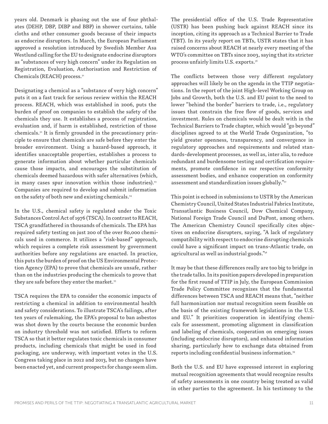years old. Denmark is phasing out the use of four phthalates (DEHP, DBP, DIBP and BBP) in shower curtains, table cloths and other consumer goods because of their impacts as endocrine disruptors. In March, the European Parliament approved a resolution introduced by Swedish Member Asa Westlund calling for the EU to designate endocrine disruptors as "substances of very high concern" under its Regulation on Registration, Evaluation, Authorisation and Restriction of Chemicals (REACH) process.<sup>51</sup>

Designating a chemical as a "substance of very high concern" puts it on a fast track for serious review within the REACH process. REACH, which was established in 2006, puts the burden of proof on companies to establish the safety of the chemicals they use. It establishes a process of registration, evaluation and, if harm is established, restriction of those chemicals.<sup>52</sup> It is firmly grounded in the precautionary principle to ensure that chemicals are safe before they enter the broader environment. Using a hazard-based approach, it identifies unacceptable properties, establishes a process to generate information about whether particular chemicals cause those impacts, and encourages the substitution of chemicals deemed hazardous with safer alternatives (which, in many cases spur innovation within those industries).<sup>53</sup> Companies are required to develop and submit information on the safety of both new and existing chemicals.<sup>54</sup>

In the U.S., chemical safety is regulated under the Toxic Substances Control Act of 1976 (TSCA). In contrast to REACH, TSCA grandfathered in thousands of chemicals. The EPA has required safety testing on just 200 of the over 80,000 chemicals used in commerce. It utilizes a "risk-based" approach, which requires a complete risk assessment by government authorities before any regulations are enacted. In practice, this puts the burden of proof on the US Environmental Protection Agency (EPA) to prove that chemicals are unsafe, rather than on the industries producing the chemicals to prove that they are safe before they enter the market.<sup>55</sup>

TSCA requires the EPA to consider the economic impacts of restricting a chemical in addition to environmental health and safety considerations. To illustrate TSCA's failings, after ten years of rulemaking, the EPA's proposal to ban asbestos was shot down by the courts because the economic burden on industry threshold was not satisfied. Efforts to reform TSCA so that it better regulates toxic chemicals in consumer products, including chemicals that might be used in food packaging, are underway, with important votes in the U.S. Congress taking place in 2012 and 2013, but no changes have been enacted yet, and current prospects for change seem slim. The presidential office of the U.S. Trade Representative (USTR) has been pushing back against REACH since its inception, citing its approach as a Technical Barrier to Trade (TBT). In its yearly report on TBTs, USTR states that it has raised concerns about REACH at nearly every meeting of the WTO's committee on TBTs since 2003, saying that its stricter process unfairly limits U.S. exports.<sup>56</sup>

The conflicts between those very different regulatory approaches will likely be on the agenda in the TTIP negotiations. In the report of the joint High-level Working Group on Jobs and Growth, both the U.S. and EU point to the need to lower "behind the border" barriers to trade, i.e., regulatory issues that constrain the free flow of goods, services and investment. Rules on chemicals would be dealt with in the Technical Barriers to Trade chapter, which would "go beyond" disciplines agreed to at the World Trade Organization, "to yield greater openness, transparency, and convergence in regulatory approaches and requirements and related standards-development processes, as well as, inter alia, to reduce redundant and burdensome testing and certification requirements, promote confidence in our respective conformity assessment bodies, and enhance cooperation on conformity assessment and standardization issues globally."57

This point is echoed in submissions to USTR by the American Chemistry Council, United States Industrial Fabrics Institute, Transatlantic Business Council, Dow Chemical Company, National Foreign Trade Council and DuPont, among others. The American Chemistry Council specifically cites objectives on endocrine disrupters, saying, "A lack of regulatory compatibility with respect to endocrine disrupting chemicals could have a significant impact on trans-Atlantic trade, on agricultural as well as industrial goods."58

It may be that these differences really are too big to bridge in the trade talks. In its position papers developed in preparation for the first round of TTIP in July, the European Commission Trade Policy Committee recognizes that the fundamental differences between TSCA and REACH means that, "neither full harmonization nor mutual recognition seem feasible on the basis of the existing framework legislations in the U.S. and EU." It prioritizes cooperation in identifying chemicals for assessment, promoting alignment in classification and labeling of chemicals, cooperation on emerging issues (including endocrine disruptors), and enhanced information sharing, particularly how to exchange data obtained from reports including confidential business information.<sup>59</sup>

Both the U.S. and EU have expressed interest in exploring mutual recognition agreements that would recognize results of safety assessments in one country being treated as valid in other parties to the agreement. In his testimony to the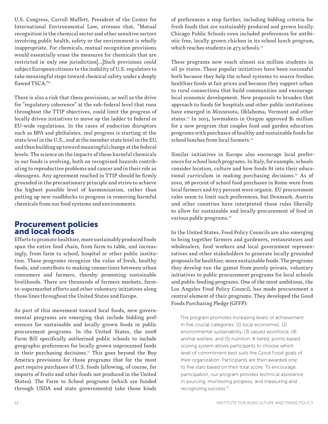U.S. Congress, Carroll Muffett, President of the Center for International Environmental Law, stresses that, "Mutual recognition in the chemical sector and other sensitive sectors involving public health, safety or the environment is wholly inappropriate. For chemicals, mutual recognition provisions would essentially erase the measures for chemicals that are restricted in only one jurisdiction[...]Such provisions could subject European citizens to the inability of U.S. regulators to take meaningful steps toward chemical safety under a deeply flawed TSCA."60

There is also a risk that these provisions, as well as the drive for "regulatory coherence" at the sub-federal level that runs throughout the TTIP objectives, could limit the progress of locally driven initiatives to move up the ladder to federal or EU-wide regulations. In the cases of endocrine disruptors such as BPA and phthalates, real progress is starting at the state level in the U.S., and at the member state level in the EU, and then building up toward meaningful change at the federal levels. The science on the impacts of these harmful chemicals in our foods is evolving, both on recognized hazards contributing to reproductive problems and cancer and in their role as obesogens. Any agreement reached in TTIP should be firmly grounded in the precautionary principle and strive to achieve the highest possible level of harmonization, rather than putting up new roadblocks to progress in removing harmful chemicals from our food systems and environments.

### Procurement policies and local foods

Efforts to promote healthier, more sustainably produced foods span the entire food chain, from farm to table, and increasingly, from farm to school, hospital or other public institution. These programs recognize the value of fresh, healthy foods, and contribute to making connections between urban consumers and farmers, thereby promoting sustainable livelihoods. There are thousands of farmers markets, farmto-supermarket efforts and other voluntary initiatives along those lines throughout the United States and Europe.

As part of this movement toward local foods, new governmental programs are emerging that include bidding preferences for sustainable and locally grown foods in public procurement programs. In the United States, the 2008 Farm Bill specifically authorized public schools to include geographic preferences for locally grown unprocessed foods in their purchasing decisions.<sup>61</sup> This goes beyond the Buy America provisions for those programs that for the most part require purchases of U.S. foods (allowing, of course, for imports of fruits and other foods not produced in the United States). The Farm to School programs (which are funded through USDA and state governments) take those kinds

of preferences a step farther, including bidding criteria for fresh foods that are sustainably produced and grown locally. Chicago Public Schools even included preferences for antibiotic free, locally grown chicken in its school lunch program, which reaches students in 473 schools.<sup>62</sup>

These programs now reach almost six million students in all 50 states. These popular initiatives have been successful both because they help the school systems to source fresher, healthier foods at fair prices and because they support urban to rural connections that build communities and encourage local economic development. New proposals to broaden that approach to foods for hospitals and other public institutions have emerged in Minnesota, Oklahoma, Vermont and other states.63 In 2013, lawmakers in Oregon approved \$1 million for a new program that couples food and garden education programs with purchases of healthy and sustainable foods for school lunches from local farmers.<sup>64</sup>

Similar initiatives in Europe also encourage local preferences for school lunch programs. In Italy, for example, schools consider location, culture and how foods fit into their educational curriculum in making purchasing decisions.<sup>65</sup> As of 2010, 26 percent of school food purchases in Rome were from local farmers and 67.5 percent were organic. EU procurement rules seem to limit such preferences, but Denmark, Austria and other countries have interpreted those rules liberally to allow for sustainable and locally procurement of food in various public programs.<sup>66</sup>

In the United States, Food Policy Councils are also emerging to bring together farmers and gardeners, restaurateurs and wholesalers, food workers and local government representatives and other stakeholders to generate locally grounded proposals for healthier, more sustainable foods. The programs they develop run the gamut from purely private, voluntary initiatives to public procurement programs for local schools and public feeding programs. One of the most ambitious, the Los Angeles Food Policy Council, has made procurement a central element of their programs. They developed the Good Foods Purchasing Pledge (GFFP):

The program promotes increasing levels of achievement in five crucial categories: (1) local economies, (2) environmental sustainability, (3) valued workforce, (4) animal welfare, and (5) nutrition. A tiered, points-based scoring system allows participants to choose which level of commitment best suits the Good Food goals of their organization. Participants are then awarded one to five stars based on their total score. To encourage participation, our program provides technical assistance in sourcing, monitoring progress, and measuring and recognizing success.67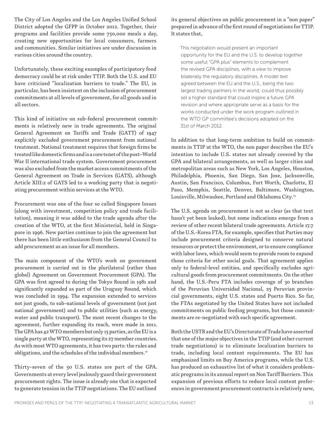The City of Los Angeles and the Los Angeles Unified School District adopted the GFPP in October 2012. Together, their programs and facilities provide some 750,000 meals a day, creating new opportunities for local consumers, farmers and communities. Similar initiatives are under discussion in various cities around the country.

Unfortunately, these exciting examples of participatory food democracy could be at risk under TTIP. Both the U.S. and EU have criticized "localization barriers to trade." The EU, in particular, has been insistent on the inclusion of procurement commitments at all levels of government, for all goods and in all sectors.

This kind of initiative on sub-federal procurement commitments is relatively new in trade agreements. The original General Agreement on Tariffs and Trade (GATT) of 1947 explicitly excluded government procurement from national treatment. National treatment requires that foreign firms be treated like domestic firms and is a core tenet of the post–World War II international trade system. Government procurement was also excluded from the market access commitments of the General Agreement on Trade in Services (GATS), although Article XIII:2 of GATS led to a working party that is negotiating procurement within services at the WTO.

Procurement was one of the four so called Singapore Issues (along with investment, competition policy and trade facilitation), meaning it was added to the trade agenda after the creation of the WTO, at the first Ministerial, held in Singapore in 1996. New parties continue to join the agreement but there has been little enthusiasm from the General Council to add procurement as an issue for all members.

The main component of the WTO's work on government procurement is carried out in the plurilateral (rather than global) Agreement on Government Procurement (GPA). The GPA was first agreed to during the Tokyo Round in 1981 and significantly expanded as part of the Uruguay Round, which was concluded in 1994. The expansion extended to services not just goods, to sub-national levels of government (not just national government) and to public utilities (such as energy, water and public transport). The most recent changes to the agreement, further expanding its reach, were made in 2011. The GPA has 42 WTO members but only 15 parties, as the EU is a single party at the WTO, representing its 27 member countries. As with most WTO agreements, it has two parts: the rules and obligations, and the schedules of the individual members.<sup>68</sup>

Thirty-seven of the 50 U.S. states are part of the GPA. Governments at every level jealously guard their government procurement rights. The issue is already one that is expected to generate tension in the TTIP negotiations. The EU outlined

its general objectives on public procurement in a "non paper" prepared in advance of the first round of negotiations for TTIP. It states that,

This negotiation would present an important opportunity for the EU and the U.S. to develop together some useful "GPA plus" elements to complement the revised GPA disciplines, with a view to improve bilaterally the regulatory disciplines. A model text agreed between the EU and the U.S., being the two largest trading partners in the world, could thus possibly set a higher standard that could inspire a future GPA revision and where appropriate serve as a basis for the works conducted under the work program outlined in the WTO GP committee's decisions adopted on the 31st of March 2012.

In addition to that long-term ambition to build on commitments in TTIP at the WTO, the non paper describes the EU's intention to include U.S. states not already covered by the GPA and bilateral arrangements, as well as larger cities and metropolitan areas such as New York, Los Angeles, Houston, Philadelphia, Phoenix, San Diego, San Jose, Jacksonville, Austin, San Francisco, Columbus, Fort Worth, Charlotte, El Paso, Memphis, Seattle, Denver, Baltimore, Washington, Louisville, Milwaukee, Portland and Oklahoma City.<sup>69</sup>

The U.S. agenda on procurement is not as clear (as that text hasn't yet been leaked), but some indications emerge from a review of other recent bilateral trade agreements. Article 17.7 of the U.S.-Korea FTA, for example, specifies that Parties may include procurement criteria designed to conserve natural resources or protect the environment, or to ensure compliance with labor laws, which would seem to provide room to expand those criteria for other social goals. That agreement applies only to federal-level entities, and specifically excludes agricultural goods from procurement commitments. On the other hand, the U.S.-Peru FTA includes coverage of 30 branches of the Peruvian Universidad Nacional, 25 Peruvian provincial governments, eight U.S. states and Puerto Rico. So far, the FTAs negotiated by the United States have not included commitments on public feeding programs, but those commitments are re-negotiated with each specific agreement.

Both the USTR and the EU's Directorate of Trade have asserted that one of the major objectives in the TTIP (and other current trade negotiations) is to eliminate localization barriers to trade, including local content requirements. The EU has emphasized limits on Buy America programs, while the U.S. has produced an exhaustive list of what it considers problematic programs in its annual report on Non Tariff Barriers. This expansion of previous efforts to reduce local content preferences in government procurement contracts is relatively new,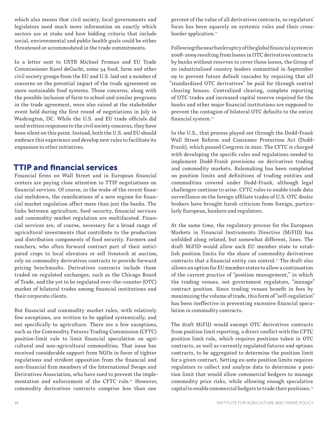which also means that civil society, local governments and legislators need much more information on exactly which sectors are at stake and how bidding criteria that include social, environmental and public health goals could be either threatened or accommodated in the trade commitments.

In a letter sent to USTR Michael Froman and EU Trade Commissioner Karel deGucht, some 34 food, farm and other civil society groups from the EU and U.S. laid out a number of concerns on the potential impact of the trade agreement on more sustainable food systems. Those concerns, along with the possible inclusion of farm to school and similar programs in the trade agreement, were also raised at the stakeholder event held during the first round of negotiations in July in Washington, DC. While the U.S. and EU trade officials did send written responses to the civil society concerns, they have been silent on this point. Instead, both the U.S. and EU should embrace this experience and develop new rules to facilitate its expansion to other initiatives.

## TTIP and financial services

Financial firms on Wall Street and in European financial centers are paying close attention to TTIP negotiations on financial services. Of course, in the wake of the recent financial meltdown, the ramifications of a new regime for financial market regulation affect more than just the banks. The links between agriculture, food security, financial services and commodity market regulation are multifaceted. Financial services are, of course, necessary for a broad range of agricultural investments that contribute to the production and distribution components of food security. Farmers and ranchers, who often forward contract part of their anticipated crops to local elevators or sell livestock at auction, rely on commodity derivatives contracts to provide forward pricing benchmarks. Derivatives contracts include those traded on regulated exchanges, such as the Chicago Board of Trade, and the yet to be regulated over-the-counter (OTC) market of bilateral trades among financial institutions and their corporate clients.

But financial and commodity market rules, with relatively few exceptions, are written to be applied systemically, and not specifically to agriculture. There are a few exceptions, such as the Commodity Futures Trading Commission (CFTC) position-limit rule to limit financial speculation on agricultural and non-agricultural commodities. That issue has received considerable support from NGOs in favor of tighter regulations and strident opposition from the financial and non-financial firm members of the International Swaps and Derivatives Association, who have sued to prevent the implementation and enforcement of the CFTC rule.<sup>70</sup> However, commodity derivatives contracts comprise less than one

percent of the value of all derivatives contracts, so regulators' focus has been squarely on systemic rules and their crossborder application.<sup>71</sup>

Following the near bankruptcy of the global financial system in 2008-2009 resulting from losses in OTC derivatives contracts by banks without reserves to cover these losses, the Group of 20 industrialized country leaders committed in September 09 to prevent future default cascades by requiring that all "standardized OTC derivatives" be paid for through central clearing houses. Centralized clearing, complete reporting of OTC trades and increased capital reserve required for the banks and other major financial institutions are supposed to prevent the contagion of bilateral OTC defaults to the entire financial system.72

In the U.S., that process played out through the Dodd-Frank Wall Street Reform and Consumer Protection Act (Dodd-Frank), which passed Congress in 2010. The CFTC is charged with developing the specific rules and regulations needed to implement Dodd-Frank provisions on derivatives trading and commodity markets. Rulemaking has been completed on position limits and definitions of trading entities and commodities covered under Dodd-Frank, although legal challenges continue to arise. CFTC rules to enable trade data surveillance on the foreign affiliate trades of U.S. OTC dealer brokers have brought harsh criticism from foreign, particularly European, bankers and regulators.

At the same time, the regulatory process for the European Markets in Financial Instruments Directive (MiFID) has unfolded along related, but somewhat different, lines. The draft MiFID would allow each EU member state to establish position limits for the share of commodity derivatives contracts that a financial entity can control. $\sigma$  The draft also allows an option for EU member states to allow a continuation of the current practice of "position management," in which the trading venues, not government regulators, "manage" contract position. Since trading venues benefit in fees by maximizing the volume of trade, this form of "self-regulation" has been ineffective in preventing excessive financial speculation in commodity contracts.

The draft MiFID would exempt OTC derivatives contracts from position limit reporting, a direct conflict with the CFTC position limit rule, which requires positions taken in OTC contracts, as well as currently regulated futures and options contracts, to be aggregated to determine the position limit for a given contract. Setting ex-ante position limits requires regulators to collect and analyze data to determine a position limit that would allow commercial hedgers to manage commodity price risks, while allowing enough speculative capital to enable commercial hedgers to trade their positions.74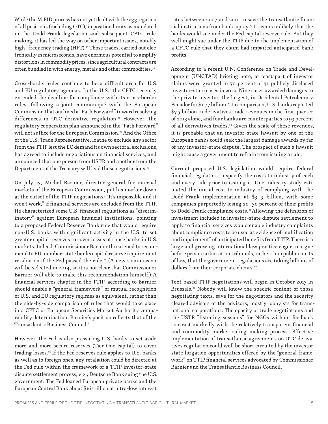While the MiFID process has not yet dealt with the aggregation of all positions (including OTC), in position limits as mandated in the Dodd-Frank legislation and subsequent CFTC rulemaking, it has led the way on other important issues, notably high -frequency trading (HFT).<sup>75</sup> Those trades, carried out electronically in microseconds, have enormous potential to amplify distortions in commodity prices, since agricultural contracts are often bundled in with energy, metals and other commodities.<sup>76</sup>

Cross-border rules continue to be a difficult area for U.S. and EU regulatory agendas. In the U.S., the CFTC recently extended the deadline for compliance with its cross-border rules, following a joint communiqué with the European Commission that outlined a "Path Forward" toward resolving differences in OTC derivative regulation.<sup>77</sup> However, the regulatory cooperation plan announced in the "Path Forward" will not suffice for the European Commission.<sup>78</sup> And the Office of the U.S. Trade Representative, loathe to exclude any sector from the TTIP lest the EC demand its own sectoral exclusions, has agreed to include negotiations on financial services, and announced that one person from USTR and another from the Department of the Treasury will lead those negotiations.<sup>79</sup>

On July 15, Michel Barnier, director general for internal markets of the European Commission, put his marker down at the outset of the TTIP negotiations: "It's impossible and it won't work," if financial services are excluded from the TTIP. He characterized some U.S. financial regulations as "discriminatory" against European financial institutions, pointing to a proposed Federal Reserve Bank rule that would require non-U.S. banks with significant activity in the U.S. to set greater capital reserves to cover losses of those banks in U.S. markets. Indeed, Commissioner Barnier threatened to recommend to EU member-state banks capital reserve requirement retaliation if the Fed passed the rule.<sup>80</sup> (A new Commission will be selected in 2014, so it is not clear that Commissioner Barnier will able to make this recommendation himself.) A financial services chapter in the TTIP, according to Barnier, should enable a "general framework" of mutual recognition of U.S. and EU regulatory regimes as equivalent, rather than the side-by-side comparison of rules that would take place in a CFTC or European Securities Market Authority comparability determination. Barnier's position reflects that of the Transatlantic Business Council.<sup>81</sup>

However, the Fed is also pressuring U.S. banks to set aside more and more secure reserves (Tier One capital) to cover trading losses.<sup>82</sup> If the Fed reserves rule applies to U.S. banks as well as to foreign ones, any retaliation could be directed at the Fed rule within the framework of a TTIP investor-state dispute settlement process, e.g., Deutsche Bank suing the U.S. government. The Fed loaned European private banks and the European Central Bank about \$16 trillion at ultra-low interest

rates between 2007 and 2010 to save the transatlantic financial institutions from bankruptcy.<sup>83</sup> It seems unlikely that the banks would sue under the Fed capital reserve rule. But they well might sue under the TTIP due to the implementation of a CFTC rule that they claim had impaired anticipated bank profits.

According to a recent U.N. Conference on Trade and Development (UNCTAD) briefing note, at least part of investor claims were granted in 70 percent of 31 publicly disclosed investor-state cases in 2012. Nine cases awarded damages to the private investor, the largest, in Occidental Petroleum v. Ecuador for \$1.77 billion.<sup>84</sup> In comparison, U.S. banks reported \$7.5 billion in derivatives trade revenues in the first quarter of 2013 alone, and four banks are counterparties to 93 percent of all derivatives trades.<sup>85</sup> Given the scale of these revenues. it is probable that an investor-state lawsuit by one of the European banks could seek the largest damage awards by far of any investor-state dispute. The prospect of such a lawsuit might cause a government to refrain from issuing a rule.

Current proposed U.S. legislation would require federal financial regulators to specify the costs to industry of each and every rule prior to issuing it. One industry study estimated the initial cost to industry of complying with the Dodd-Frank implementation at \$3–5 billion, with some companies purportedly losing 20–30 percent of their profits to Dodd-Frank compliance costs.<sup>86</sup> Allowing the definition of investment included in investor-state dispute settlement to apply to financial services would enable industry complaints about compliance costs to be used as evidence of "nullification and impairment" of anticipated benefits from TTIP. There is a large and growing international law practice eager to argue before private arbitration tribunals, rather than public courts of law, that the government regulations are taking billions of dollars from their corporate clients.<sup>87</sup>

Text-based TTIP negotiations will begin in October 2013 in Brussels.<sup>88</sup> Nobody will know the specific content of those negotiating texts, save for the negotiators and the security cleared advisors of the advisors, mostly lobbyists for transnational corporations. The opacity of trade negotiations and the USTR "listening sessions" for NGOs without feedback contrast markedly with the relatively transparent financial and commodity market ruling making process. Effective implementation of transatlantic agreements on OTC derivatives regulation could well be short circuited by the investor state litigation opportunities offered by the "general framework" on TTIP financial services advocated by Commissioner Barnier and the Transatlantic Business Council.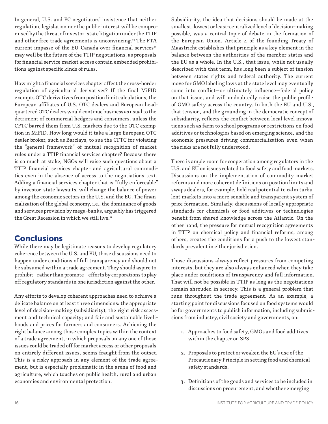In general, U.S. and EC negotiators' insistence that neither regulation, legislation nor the public interest will be compromised by the threat of investor-state litigation under the TTIP and other free trade agreements is unconvincing.<sup>89</sup> The FTA current impasse of the EU-Canada over financial services<sup>90</sup> may well be the future of the TTIP negotiations, as proposals for financial service market access contain embedded prohibitions against specific kinds of rules.

How might a financial services chapter affect the cross-border regulation of agricultural derivatives? If the final MiFID exempts OTC derivatives from position limit calculations, the European affiliates of U.S. OTC dealers and European headquartered OTC dealers would continue business as usual to the detriment of commercial hedgers and consumers, unless the CFTC barred them from U.S. markets due to the OTC exemption in MiFID. How long would it take a large European OTC dealer broker, such as Barclays, to sue the CFTC for violating the "general framework" of mutual recognition of market rules under a TTIP financial services chapter? Because there is so much at stake, NGOs will raise such questions about a TTIP financial services chapter and agricultural commodities even in the absence of access to the negotiations text. Adding a financial services chapter that is "fully enforceable" by investor-state lawsuits, will change the balance of power among the economic sectors in the U.S. and the EU. The financialization of the global economy, i.e., the dominance of goods and services provision by mega-banks, arguably has triggered the Great Recession in which we still live.<sup>91</sup>

## Conclusions

While there may be legitimate reasons to develop regulatory coherence between the U.S. and EU, those discussions need to happen under conditions of full transparency and should not be subsumed within a trade agreement. They should aspire to prohibit—rather than promote—efforts by corporations to play off regulatory standards in one jurisdiction against the other.

Any efforts to develop coherent approaches need to achieve a delicate balance on at least three dimensions: the appropriate level of decision-making (subsidiarity); the right risk assessment and technical capacity; and fair and sustainable livelihoods and prices for farmers and consumers. Achieving the right balance among those complex topics within the context of a trade agreement, in which proposals on any one of those issues could be traded off for market access or other proposals on entirely different issues, seems fraught from the outset. This is a risky approach in any element of the trade agreement, but is especially problematic in the arena of food and agriculture, which touches on public health, rural and urban economies and environmental protection.

Subsidiarity, the idea that decisions should be made at the smallest, lowest or least-centralized level of decision-making possible, was a central topic of debate in the formation of the European Union. Article 4 of the founding Treaty of Maastricht establishes that principle as a key element in the balance between the authorities of the member states and the EU as a whole. In the U.S., that issue, while not usually described with that term, has long been a subject of tension between states rights and federal authority. The current move for GMO labeling laws at the state level may eventually come into conflict—or ultimately influence—federal policy on that issue, and will undoubtedly raise the public profile of GMO safety across the country. In both the EU and U.S., that tension, and the grounding in the democratic concept of subsidiarity, reflects the conflict between local level innovations such as farm to school programs or restrictions on food additives or technologies based on emerging science, and the economic pressures driving commercialization even when the risks are not fully understood.

There is ample room for cooperation among regulators in the U.S. and EU on issues related to food safety and food markets. Discussions on the implementation of commodity market reforms and more coherent definitions on position limits and swaps dealers, for example, hold real potential to calm turbulent markets into a more sensible and transparent system of price formation. Similarly, discussions of locally appropriate standards for chemicals or food additives or technologies benefit from shared knowledge across the Atlantic. On the other hand, the pressure for mutual recognition agreements in TTIP on chemical policy and financial reforms, among others, creates the conditions for a push to the lowest standards prevalent in either jurisdiction.

Those discussions always reflect pressures from competing interests, but they are also always enhanced when they take place under conditions of transparency and full information. That will not be possible in TTIP as long as the negotiations remain shrouded in secrecy. This is a general problem that runs throughout the trade agreement. As an example, a starting point for discussions focused on food systems would be for governments to publish information, including submissions from industry, civil society and governments, on:

- 1. Approaches to food safety, GMOs and food additives within the chapter on SPS.
- 2. Proposals to protect or weaken the EU's use of the Precautionary Principle in setting food and chemical safety standards.
- 3. Definitions of the goods and services to be included in discussions on procurement, and whether emerging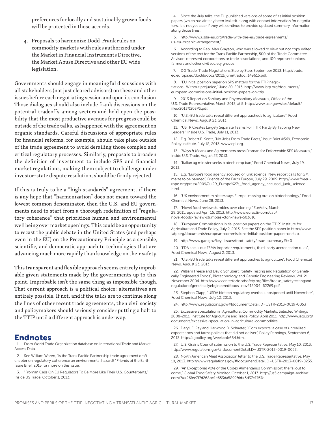preferences for locally and sustainably grown foods will be protected in those accords.

4. Proposals to harmonize Dodd-Frank rules on commodity markets with rules authorized under the Market in Financial Instruments Directive, the Market Abuse Directive and other EU wide legislation.

Governments should engage in meaningful discussions with all stakeholders (not just cleared advisors) on these and other issues before each negotiating session and upon its conclusion. Those dialogues should also include frank discussions on the potential tradeoffs among sectors and hold open the possibility that the most productive avenues for progress could be outside of the trade talks, as happened with the agreement on organic standards. Careful discussions of appropriate rules for financial reforms, for example, should take place outside of the trade agreement to avoid derailing those complex and critical regulatory processes. Similarly, proposals to broaden the definition of investment to include SPS and financial market regulations, making them subject to challenge under investor-state dispute resolution, should be firmly rejected.

If this is truly to be a "high standards" agreement, if there is any hope that "harmonization" does not mean toward the lowest common denominator, then the U.S. and EU governments need to start from a thorough redefinition of "regulatory coherence" that prioritizes human and environmental well being over market openings. This could be an opportunity to recast the public debate in the United States (and perhaps even in the EU) on the Precautionary Principle as a sensible, scientific, and democratic approach to technologies that are advancing much more rapidly than knowledge on their safety.

This transparent and flexible approach seems entirely improbable given statements made by the governments up to this point. Improbable isn't the same thing as impossible though. That current approach is a political choice; alternatives are entirely possible. If not, and if the talks are to continue along the lines of other recent trade agreements, then civil society and policymakers should seriously consider putting a halt to the TTIP until a different approach is underway.

#### Endnotes

1. From World Trade Organization database on International Trade and Market Access Data.

See William Waren, "Is the Trans Pacific Partnership trade agreement draft chapter on regulatory coherence an environmental hazard?" Friends of the Earth Issue Brief, 2013 for more on this issue.

3. "Froman Calls On EU Regulators To Be More Like Their U.S. Counterparts," Inside US Trade, October 1, 2013.

4. Since the July talks, the EU published versions of some of its initial position papers (which has already been leaked), along with contact information for negotiators. It is not yet clear if they will continue to provide updated summary information along those lines.

5. http://www.usda-eu.org/trade-with-the-eu/trade-agreements/ us-eu-organic-arrangement/

6. According to Rep. Alan Grayson, who was allowed to view but not copy edited versions of the text for the Trans Pacific Partnership, 500 of the Trade Committee Advisors represent corporations or trade associations, and 100 represent unions, farmers and other civil society groups.

7. DG Trade: Trade Negotiations Step by Step, September 2013. http://trade. ec.europa.eu/doclib/docs/2012/june/tradoc\_149616.pdf.

8. "EU initial position paper on SPS matters for the TTIP negotiations- Without prejudice," June 20, 2013. http://www.iatp.org/documents/ european-commissions-initial-position-papers-on-ttip.

9. 2013 Report on Sanitary and Phytosanitary Measures, Office of the U.S. Trade Representative, March 2013, at 5. http://www.ustr.gov/sites/default/ files/2013%20SPS.pdf.

10. "U.S.-EU trade talks reveal different approacheds to agriculture", Food Chemical News, August 23, 2013.

11. "USTR Creates Largely Separate Teams For TTIP, Partly By Tapping New Leaders," Inside U.S. Trade, July 11, 2013.

12. E.g. Robert E. Scott, "No Jobs From Trade Pacts," Issue Brief #369, Economic Policy Institute, July 18, 2013. www.epi.org.

13. "Ways & Means and Ag members press Froman for Enforceable SPS Measures," Inside U.S. Trade, August 27, 2013.

14. "Italian ag minister seeks biotech crop ban," Food Chemical News, July 19, 2013.

15. E.g. "Europe's food agency accused of junk science: New report calls for GM maize to be banned", Friends of the Earth Europe, July 29, 2009. http://www.foeeurope.org/press/2009/Jul29\_Europe%27s\_food\_agency\_accused\_junk\_science. html.

16. "UK environment ministers says Europe 'missing out' on biotechnology," Food Chemical News, June 28, 2013.

17. "Novel food review stumbles over cloning," EurActiv, March 29, 2011, updated April 15, 2013. http://www.euractiv.com/cap/ novel-foods-review-stumbles-clon-news-503610.

18. "European Commission's initial position papers on the TTIP," Institute for Agriculture and Trade Policy, July 2, 2013. See the SPS position paper in http://www. iatp.org/documents/european-commissions-initial-position-papers-on-ttip.

19. http://www.gao.gov/key\_issues/food\_safety/issue\_summary#t=0

20. "FDA spells out FSMA importer requirements, third-party accreditation rules", Food Chemical News, August 2, 2013.

21. "U.S.-EU trade talks reveal different approaches to agriculture", Food Chemical News, August 23, 2013.

22. William Freese and David Schubert, "Safety Testing and Regulation of Genetically Engineered Foods", Biotechnology and Genetic Engineering Reviews, Vol. 21, November 2004. http://www.centerforfoodsafety.org/files/freese\_safetytestingandregulationofgeneticallyebgineeredfoods\_nov212004\_62269.pdf.

23. Stephen Clapp, "USDA biotech regulatory overhaul postponed until November", Food Chemical News, July 12, 2013.

24. http://www.regulations.gov/#!documentDetail;D=USTR-2013-0019-0053

25. Excessive Speculation in Agricultural Commodity Markets: Selected Writings 2008-2011, Institute for Agriculture and Trade Policy, April 2011. http://www.iatp.org/ documents/excessive-speculation-in-agriculture-commodities.

26. Daryll E. Ray and Harwood D. Schaefer, "Corn exports: a case of unrealized expectations and farms policies that did not deliver", Policy Pennings, September 6, 2013. http://agpolicy.org/weekcol/684.html.

27. U.S. Grains Council submission to the U.S. Trade Representative, May 10, 2013. http://www.regulations.gov/#!documentDetail;D=USTR-2013-0019-0053.

28. North American Meat Association letter to the U.S. Trade Representative, May 10, 2013. http://www.regulations.gov/#!documentDetail;D=USTR-2013-0019-0235.

29. "An Exceptional Vote of the Codex Alimentarius Commission: the fallout to come," Global Food Safety Monitor, October 1, 2013. http://us5.campaign-archive1. com/?u=26fee7f7d268bc1c653da5892&id=5d37c1767e.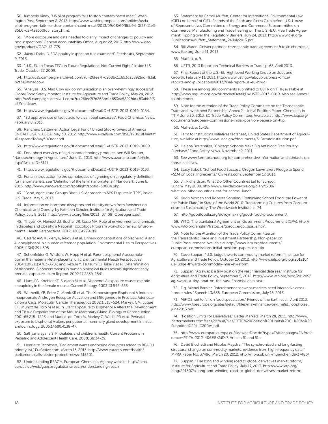30. Kimberly Kindy, "US pilot program fails to stop contaminated meat", Washington Post, September 8, 2013. http://www.washingtonpost.com/politics/usdapilot-program-fails-to-stop-contaminated-meat/2013/09/08/60f8bb94-0f58-11e3- 85b6-d27422650fd5\_story.html.

31. "More disclosure and data needed to clarify impact of changes to poultry and hog inspections" General Accountability Office, August 22, 2013. http://www.gao. gov/products/GAO-13-775.

32. Jacqui Fatka, "USDA poultry inspection rule examined", Feedstuffs, September 9, 2013.

33. "U.S., EU to Focus TEC on Future Regulations, Not Current Fights" Inside U.S. Trade, October 27, 2009.

34. http://us5.campaign-archive1.com/?u=26fee7f7d268bc1c653da5892&id=83ab b2f3a2#madcow.

35. "Analysis: U.S. Mad Cow risk communication plan overwhelmingly successful" Global Food Safety Monitor, Institute for Agriculture and Trade Policy, May 24, 2012. http://us5.campaign-archive1.com/?u=26fee7f7d268bc1c653da5892&id=83abb2f3 a2#madcow.

36. http://www.regulations.gov/#!documentDetail;D=USTR-2013-0019-0154.

37. "EU approves use of lactic acid to clean beef carcasses", Food Chemical News, February 8, 2013.

38. Ranchers Cattlemen Action Legal Fund/ United Stockgrowers of America [R-CALF USA] v. USDA, May 30, 2012. http://www.r-calfusa.com/BSE/120619Plaintiff sResponseToMay30Order.pdf.

39. http://www.regulations.gov/#!documentDetail;D=USTR-2013-0019-0009.

40. For a short overview of agri-nanotechnology products, see Will Soutter, "Nanotechnology in Agriculture," June 11, 2013. http://www.azonano.com/article. aspx?ArticleID=3141.

41. http://www.regulations.gov/#!documentDetail;D=USTR-2013-0019-0193.

42. For an introduction to the complexities of agreeing on a regulatory definition for nanomaterials, see "Definition of the term nanomaterial", Nanowerk, June 6, 2013. http://www.nanowerk.com/spotlight/spotid=30804.php.

43. "Food, Agriculture Groups Blast U.S. Approach to SPS Disputes in TPP", inside U.S. Trade, May 9, 2013.

44. Information on hormone disruptors and obesity drawn from factsheet on Chemicals and Obesity, by Kathleen Schuler, Institute for Agriculture and Trade Policy, July 8, 2013. http://www.iatp.org/files/2013\_07\_08\_Obesogens.pdf.

45. Thayer KA, Heindel JJ, Bucher JR, Gallo MA. Role of environmental chemicals in diabetes and obesity: a National Toxicology Program workshop review. Environmental Health Perspectives. 2012; 120(6):779-89.

46. Calafat AM, Kuklenyik, Reidy J et al. Urinary concentrations of bisphenol A and 4-nonylphenol in a human reference population. Environmental Health Perspectives. 2005;113(4):391-395.

47. Schonfelder G, Wittfoht W, Hopp H et al. Parent bisphenol A accumulation in the maternal-fetal-placental unit. Environmental Health Perspectives 2004;110(211):A703-A707, and Ikezuki Y, Tsutsumi O, Takai Y et al. Determination of bisphenol A concentrations in human biological fluids reveals significant early prenatal exposure. Hum Reprod. 2002;17:2839-2841.

48. Hunt, PA, Koehler KE, Susiarjo M et al. Bisphenol A exposure causes meiotic aneuploidy in the female mouse. Current Biology. 2003;13:546-553.

49. Wetherill, YB, Petre C, Monk KR et al. The Xenoestrogen Bisphenol A Induces Inappropriate Androgen Receptor Activation and Mitogenesis in Prostatic Adenocarcinoma Cells. Molecular Cancer Therapeutics 2002;1:515–524; Markey, CM, Luque EH, Munoz de Toro M et al. In Utero Exposure to Bisphenol A Alters the Development and Tissue Organization of the Mouse Mammary Gland. Biology of Reproduction. 2001;65:215–1223; and Munoz-de-Toro M, Markey C, Wadia PR et al. Perinatal exposure to bisphenol A alters peripubertal mammary gland development in mice. Endocrinology. 2005;146(9):4138-47.

50. Sathyanarayana S. Phthalates and children's health. Current Problems in Pediatric and Adolescent Health Care. 2008; 38:34-39.

51. Henriette Jacobsen, "Parliament wants endocrine disruptors added to REACH priority list," EurActive.com, March 15, 2013. http://www.euractiv.com/health/ parliament-calls-better-protecti-news-518501.

52. Understanding REACH, European Chemicals Agency website. http://echa. europa.eu/web/guest/regulations/reach/understanding-reach

53. Statement by Carroll Muffett, Center for International Environmental Law (CIEL) on behalf of CIEL, Friends of the Earth and Sierra Club before U.S. House of Representatives Committee on Energy and Commerce Subcommittee on Commerce, Manufacturing and Trade hearing on The U.S.-E.U. Free Trade Agreement: Tipping over the Regulatory Barriers, July 24, 2013. http://www.ciel.org/ Publications/Muffett\_Statement\_24July2013.pdf.

54. Bill Waren, Sinister partners: transatlantic trade agreement & toxic chemicals, www.foe.org, June 21, 2013.

55. Muffett, p. 9.

56. USTR, 2013 Report on Technical Barriers to Trade, p. 63, April 2013.

57. Final Report of the U.S.-EU High Level Working Group on Jobs and Growth, February 11, 2013, http://www.ustr.gov/about-us/press-office/ reports-and-publications/2013/final-report-us-eu-hlwg.

58. These are among 380 comments submitted to USTR on TTIP, available at http://www.regulations.gov/#!docketDetail;D=USTR-2013-0019. Also see Annex 1 to this report.

59. Note for the Attention of the Trade Policy Committee on the Transatlantic Trade and Investment Partnership, Annex 2 – Initial Position Paper: Chemicals in TTIP, June 20, 2013, EC Trade Policy Committee. Available at http://www.iatp.org/ documents/european-commissions-initial-position-papers-on-ttip.

60. Muffett, p. 15-16.

61. Farm to Institutions Initiatives factsheet, United States Department of Agriculture, available at http://www.usda.gov/documents/6-Farmtoinstitution.pdf.

62. Helena Bottemiller, "Chicago Schools Make Big Antibiotic Free Poultry Purchase," Food Safety News, November 2, 2011.

63. See www.farmtoschool.org for comprehensive information and contacts on those initiatives.

64. Stacy Sobell, "School Food Success: Oregon Lawmakers Pledge to Spend +\$1M on Local Ingredients," Civileats.com, September 17, 2013.

65. Jill Richardson, What Do Other Countries Eat for School Lunch? May 2009. http://www.lavidalocavore.org/diary/1709/ what-do-other-countries-eat-for-school-lunch.

66. Kevin Morgan and Roberta Sonnino, "Rethinking School Food: the Power of the Public Plate," in State of the World 2010: Transforming Cultures from Consumerism to Sustainability, The Worldwatch Institute, p. 74.

67. http://goodfoodla.org/policymaking/good-food-procurement/.

68. WTO, The plurilateral Agreement on Government Procurement (GPA), http:// www.wto.org/english/tratop\_e/gproc\_e/gp\_gpa\_e.htm.

69. Note for the Attention of the Trade Policy Committee on the Transatlantic Trade and Investment Partnership, Non-paper on Public Procurement. Available at http://www.iatp.org/documents/ european-commissions-initial-position-papers-on-ttip.

70. Steve Suppan, "U.S. judge thwarts commodity market reform," Institute for Agriculture and Trade Policy, October 10, 2012. http://www.iatp.org/blog/201210/ us-judge-thwarts-commodity-market-reform

71. Suppan, "Ag swaps: a tiny boat on the vast financial data sea," Institute for Agriculture and Trade Policy, September 5, 2012. http://www.iatp.org/blog/201209/ ag-swaps-a-tiny-boat-on-the-vast-financial-data-sea.

72. E.g. Michel Barnier, "Interdependent swaps markets need interactive crossborder rules," Speech 13/638, European Commission, July 15, 2013.

73. MiFID2: set to fail on food speculation," Friends of the Earth et al., April 2013. http://www.foeeurope.org/sites/default/files/makefinancework\_mifid\_loopholes\_ june2013.pdf.

74. "Position Limits for Derivatives," Better Markets, March 28, 2011. http://www. bettermarkets.com/sites/default/files/CFTC%20Position%20Limits%20CL%20As%20 Submitted%20Hi%20Res.pdf.

75. http://www.europarl.europa.eu/sides/getDoc.do?type=TA&language=EN&refe rence=P7-TA-2012-406#BKMD-7, Articles 51 and 51a.

76. David Bicchetti and Nicolas Maystre, "The synchronized and long-lasting structural change on commodity markets: evidence from high-frequency data," MPRA Paper No. 37486, March 20, 2012. http://mpra.ub.uni-muenchen.de/37486/

77. Suppan, "The long and winding road to global derivatives market reform," Institute for Agriculture and Trade Policy. July 17, 2013. http://www.iatp.org/ blog/201307/a-long-and-winding-road-to-global-derivatives-market-reform.